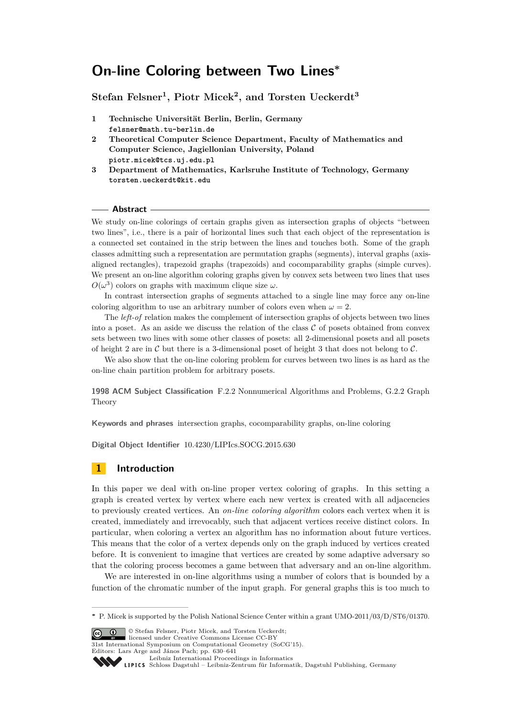# **On-line Coloring between Two Lines<sup>∗</sup>**

**Stefan Felsner<sup>1</sup> , Piotr Micek<sup>2</sup> , and Torsten Ueckerdt<sup>3</sup>**

- **1 Technische Universität Berlin, Berlin, Germany felsner@math.tu-berlin.de**
- **2 Theoretical Computer Science Department, Faculty of Mathematics and Computer Science, Jagiellonian University, Poland piotr.micek@tcs.uj.edu.pl**
- **3 Department of Mathematics, Karlsruhe Institute of Technology, Germany torsten.ueckerdt@kit.edu**

#### **Abstract**

We study on-line colorings of certain graphs given as intersection graphs of objects "between" two lines", i.e., there is a pair of horizontal lines such that each object of the representation is a connected set contained in the strip between the lines and touches both. Some of the graph classes admitting such a representation are permutation graphs (segments), interval graphs (axisaligned rectangles), trapezoid graphs (trapezoids) and cocomparability graphs (simple curves). We present an on-line algorithm coloring graphs given by convex sets between two lines that uses  $O(\omega^3)$  colors on graphs with maximum clique size  $\omega$ .

In contrast intersection graphs of segments attached to a single line may force any on-line coloring algorithm to use an arbitrary number of colors even when  $\omega = 2$ .

The *left-of* relation makes the complement of intersection graphs of objects between two lines into a poset. As an aside we discuss the relation of the class  $C$  of posets obtained from convex sets between two lines with some other classes of posets: all 2-dimensional posets and all posets of height 2 are in  $\mathcal C$  but there is a 3-dimensional poset of height 3 that does not belong to  $\mathcal C$ .

We also show that the on-line coloring problem for curves between two lines is as hard as the on-line chain partition problem for arbitrary posets.

**1998 ACM Subject Classification** F.2.2 Nonnumerical Algorithms and Problems, G.2.2 Graph Theory

**Keywords and phrases** intersection graphs, cocomparability graphs, on-line coloring

**Digital Object Identifier** [10.4230/LIPIcs.SOCG.2015.630](http://dx.doi.org/10.4230/LIPIcs.SOCG.2015.630)

## **1 Introduction**

In this paper we deal with on-line proper vertex coloring of graphs. In this setting a graph is created vertex by vertex where each new vertex is created with all adjacencies to previously created vertices. An *on-line coloring algorithm* colors each vertex when it is created, immediately and irrevocably, such that adjacent vertices receive distinct colors. In particular, when coloring a vertex an algorithm has no information about future vertices. This means that the color of a vertex depends only on the graph induced by vertices created before. It is convenient to imagine that vertices are created by some adaptive adversary so that the coloring process becomes a game between that adversary and an on-line algorithm.

We are interested in on-line algorithms using a number of colors that is bounded by a function of the chromatic number of the input graph. For general graphs this is too much to

© Stefan Felsner, Piotr Micek, and Torsten Ueckerdt;  $\boxed{6}$   $\boxed{0}$ 

licensed under Creative Commons License CC-BY

31st International Symposium on Computational Geometry (SoCG'15).

Editors: Lars Arge and János Pach; pp. 630[–641](#page-11-0)

Leibniz international Froceedings in informatik, Dagstuhl Publishing, Germany<br>LIPICS [Schloss Dagstuhl – Leibniz-Zentrum für Informatik, Dagstuhl Publishing, Germany](http://www.dagstuhl.de)

**<sup>∗</sup>** P. Micek is supported by the Polish National Science Center within a grant UMO-2011/03/D/ST6/01370.

[Leibniz International Proceedings in Informatics](http://www.dagstuhl.de/lipics/)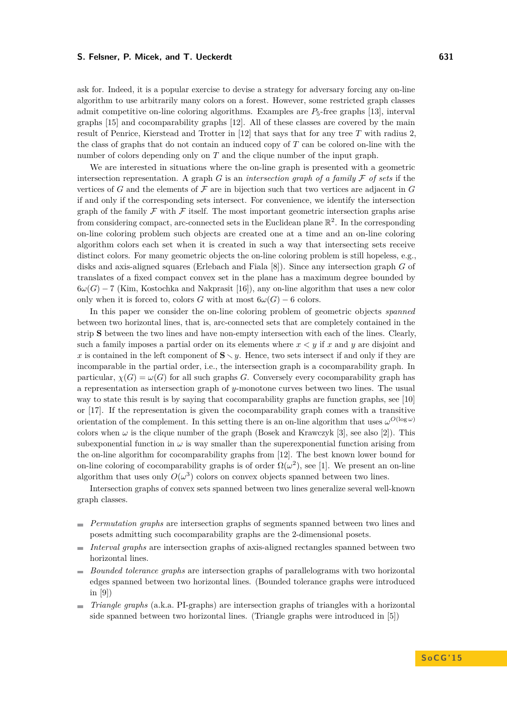ask for. Indeed, it is a popular exercise to devise a strategy for adversary forcing any on-line algorithm to use arbitrarily many colors on a forest. However, some restricted graph classes admit competitive on-line coloring algorithms. Examples are  $P_5$ -free graphs [\[13\]](#page-11-1), interval graphs [\[15\]](#page-11-2) and cocomparability graphs [\[12\]](#page-11-3). All of these classes are covered by the main result of Penrice, Kierstead and Trotter in [\[12\]](#page-11-3) that says that for any tree *T* with radius 2, the class of graphs that do not contain an induced copy of *T* can be colored on-line with the number of colors depending only on *T* and the clique number of the input graph.

We are interested in situations where the on-line graph is presented with a geometric intersection representation. A graph  $G$  is an *intersection graph of a family*  $\mathcal F$  *of sets* if the vertices of  $G$  and the elements of  $\mathcal F$  are in bijection such that two vertices are adjacent in  $G$ if and only if the corresponding sets intersect. For convenience, we identify the intersection graph of the family  $\mathcal F$  with  $\mathcal F$  itself. The most important geometric intersection graphs arise from considering compact, arc-connected sets in the Euclidean plane  $\mathbb{R}^2$ . In the corresponding on-line coloring problem such objects are created one at a time and an on-line coloring algorithm colors each set when it is created in such a way that intersecting sets receive distinct colors. For many geometric objects the on-line coloring problem is still hopeless, e.g., disks and axis-aligned squares (Erlebach and Fiala [\[8\]](#page-10-0)). Since any intersection graph *G* of translates of a fixed compact convex set in the plane has a maximum degree bounded by 6*ω*(*G*) − 7 (Kim, Kostochka and Nakprasit [\[16\]](#page-11-4)), any on-line algorithm that uses a new color only when it is forced to, colors *G* with at most  $6\omega(G) - 6$  colors.

In this paper we consider the on-line coloring problem of geometric objects *spanned* between two horizontal lines, that is, arc-connected sets that are completely contained in the strip **S** between the two lines and have non-empty intersection with each of the lines. Clearly, such a family imposes a partial order on its elements where *x < y* if *x* and *y* are disjoint and *x* is contained in the left component of  $S \setminus y$ . Hence, two sets intersect if and only if they are incomparable in the partial order, i.e., the intersection graph is a cocomparability graph. In particular,  $\chi(G) = \omega(G)$  for all such graphs *G*. Conversely every cocomparability graph has a representation as intersection graph of *y*-monotone curves between two lines. The usual way to state this result is by saying that cocomparability graphs are function graphs, see [\[10\]](#page-11-5) or [\[17\]](#page-11-6). If the representation is given the cocomparability graph comes with a transitive orientation of the complement. In this setting there is an on-line algorithm that uses  $\omega^{O(\log \omega)}$ colors when  $\omega$  is the clique number of the graph (Bosek and Krawczyk [\[3\]](#page-10-1), see also [\[2\]](#page-10-2)). This subexponential function in  $\omega$  is way smaller than the superexponential function arising from the on-line algorithm for cocomparability graphs from [\[12\]](#page-11-3). The best known lower bound for on-line coloring of cocomparability graphs is of order  $\Omega(\omega^2)$ , see [\[1\]](#page-10-3). We present an on-line algorithm that uses only  $O(\omega^3)$  colors on convex objects spanned between two lines.

Intersection graphs of convex sets spanned between two lines generalize several well-known graph classes.

- *Permutation graphs* are intersection graphs of segments spanned between two lines and posets admitting such cocomparability graphs are the 2-dimensional posets.
- *Interval graphs* are intersection graphs of axis-aligned rectangles spanned between two horizontal lines.
- *Bounded tolerance graphs* are intersection graphs of parallelograms with two horizontal edges spanned between two horizontal lines. (Bounded tolerance graphs were introduced in [\[9\]](#page-10-4))
- *Triangle graphs* (a.k.a. PI-graphs) are intersection graphs of triangles with a horizontal  $\blacksquare$ side spanned between two horizontal lines. (Triangle graphs were introduced in [\[5\]](#page-10-5))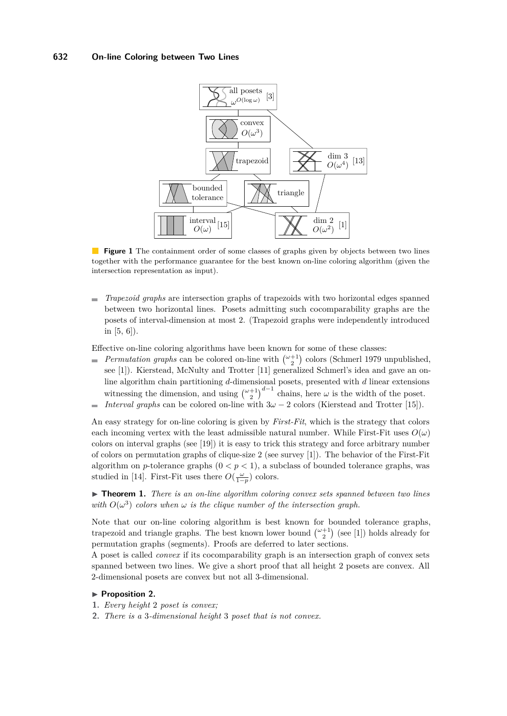#### <span id="page-2-2"></span>**632 On-line Coloring between Two Lines**



**Figure 1** The containment order of some classes of graphs given by objects between two lines together with the performance guarantee for the best known on-line coloring algorithm (given the intersection representation as input).

*Trapezoid graphs* are intersection graphs of trapezoids with two horizontal edges spanned  $\blacksquare$ between two horizontal lines. Posets admitting such cocomparability graphs are the posets of interval-dimension at most 2. (Trapezoid graphs were independently introduced in [\[5,](#page-10-5) [6\]](#page-10-6)).

Effective on-line coloring algorithms have been known for some of these classes:

- *Permutation graphs* can be colored on-line with  $\binom{\omega+1}{2}$  colors (Schmerl 1979 unpublished, see [\[1\]](#page-10-3)). Kierstead, McNulty and Trotter [\[11\]](#page-11-7) generalized Schmerl's idea and gave an online algorithm chain partitioning *d*-dimensional posets, presented with *d* linear extensions witnessing the dimension, and using  $\binom{\omega+1}{2}^{d-1}$  chains, here  $\omega$  is the width of the poset.
- *Interval graphs* can be colored on-line with  $3\omega 2$  colors (Kierstead and Trotter [\[15\]](#page-11-2)).  $\overline{a}$

An easy strategy for on-line coloring is given by *First-Fit*, which is the strategy that colors each incoming vertex with the least admissible natural number. While First-Fit uses  $O(\omega)$ colors on interval graphs (see [\[19\]](#page-11-8)) it is easy to trick this strategy and force arbitrary number of colors on permutation graphs of clique-size 2 (see survey [\[1\]](#page-10-3)). The behavior of the First-Fit algorithm on *p*-tolerance graphs  $(0 < p < 1)$ , a subclass of bounded tolerance graphs, was studied in [\[14\]](#page-11-9). First-Fit uses there  $O(\frac{\omega}{1-p})$  colors.

<span id="page-2-0"></span>▶ **Theorem 1.** *There is an on-line algorithm coloring convex sets spanned between two lines* with  $O(\omega^3)$  colors when  $\omega$  *is the clique number of the intersection graph.* 

Note that our on-line coloring algorithm is best known for bounded tolerance graphs, trapezoid and triangle graphs. The best known lower bound  $\binom{\omega+1}{2}$  (see [\[1\]](#page-10-3)) holds already for permutation graphs (segments). Proofs are deferred to later sections.

A poset is called *convex* if its cocomparability graph is an intersection graph of convex sets spanned between two lines. We give a short proof that all height 2 posets are convex. All 2-dimensional posets are convex but not all 3-dimensional.

#### <span id="page-2-1"></span>**Proposition 2.**

- **1.** *Every height* 2 *poset is convex;*
- **2.** *There is a* 3*-dimensional height* 3 *poset that is not convex.*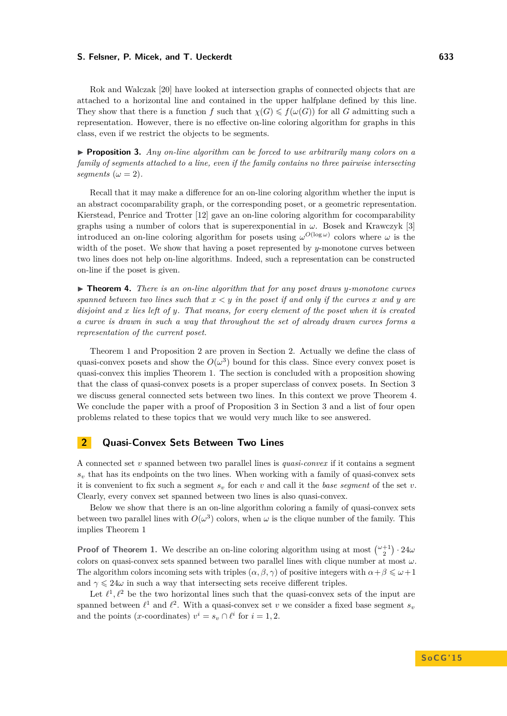Rok and Walczak [\[20\]](#page-11-10) have looked at intersection graphs of connected objects that are attached to a horizontal line and contained in the upper halfplane defined by this line. They show that there is a function *f* such that  $\chi(G) \leq f(\omega(G))$  for all *G* admitting such a representation. However, there is no effective on-line coloring algorithm for graphs in this class, even if we restrict the objects to be segments.

<span id="page-3-2"></span>I **Proposition 3.** *Any on-line algorithm can be forced to use arbitrarily many colors on a family of segments attached to a line, even if the family contains no three pairwise intersecting segments* ( $\omega = 2$ ).

Recall that it may make a difference for an on-line coloring algorithm whether the input is an abstract cocomparability graph, or the corresponding poset, or a geometric representation. Kierstead, Penrice and Trotter [\[12\]](#page-11-3) gave an on-line coloring algorithm for cocomparability graphs using a number of colors that is superexponential in *ω*. Bosek and Krawczyk [\[3\]](#page-10-1) introduced an on-line coloring algorithm for posets using  $\omega^{O(\log \omega)}$  colors where  $\omega$  is the width of the poset. We show that having a poset represented by *y*-monotone curves between two lines does not help on-line algorithms. Indeed, such a representation can be constructed on-line if the poset is given.

<span id="page-3-1"></span>▶ **Theorem 4.** *There is an on-line algorithm that for any poset draws y-monotone curves spanned between two lines such that*  $x < y$  *in the poset if and only if the curves*  $x$  *and*  $y$  *are disjoint and x lies left of y. That means, for every element of the poset when it is created a curve is drawn in such a way that throughout the set of already drawn curves forms a representation of the current poset.*

Theorem [1](#page-2-0) and Proposition [2](#page-2-1) are proven in Section [2.](#page-3-0) Actually we define the class of quasi-convex posets and show the  $O(\omega^3)$  bound for this class. Since every convex poset is quasi-convex this implies Theorem [1.](#page-2-0) The section is concluded with a proposition showing that the class of quasi-convex posets is a proper superclass of convex posets. In Section [3](#page-7-0) we discuss general connected sets between two lines. In this context we prove Theorem [4.](#page-3-1) We conclude the paper with a proof of Proposition [3](#page-7-0) in Section 3 and a list of four open problems related to these topics that we would very much like to see answered.

## <span id="page-3-0"></span>**2 Quasi-Convex Sets Between Two Lines**

A connected set *v* spanned between two parallel lines is *quasi-convex* if it contains a segment *s<sup>v</sup>* that has its endpoints on the two lines. When working with a family of quasi-convex sets it is convenient to fix such a segment  $s_v$  for each  $v$  and call it the *base segment* of the set  $v$ . Clearly, every convex set spanned between two lines is also quasi-convex.

Below we show that there is an on-line algorithm coloring a family of quasi-convex sets between two parallel lines with  $O(\omega^3)$  colors, when  $\omega$  is the clique number of the family. This implies Theorem [1](#page-2-0)

**Proof of Theorem [1.](#page-2-0)** We describe an on-line coloring algorithm using at most  $\binom{\omega+1}{2} \cdot 24\omega$ colors on quasi-convex sets spanned between two parallel lines with clique number at most *ω*. The algorithm colors incoming sets with triples  $(\alpha, \beta, \gamma)$  of positive integers with  $\alpha + \beta \leq \omega + 1$ and  $\gamma \leq 24\omega$  in such a way that intersecting sets receive different triples.

Let  $\ell^1, \ell^2$  be the two horizontal lines such that the quasi-convex sets of the input are spanned between  $\ell^1$  and  $\ell^2$ . With a quasi-convex set *v* we consider a fixed base segment  $s_v$ and the points (*x*-coordinates)  $v^i = s_v \cap \ell^i$  for  $i = 1, 2$ .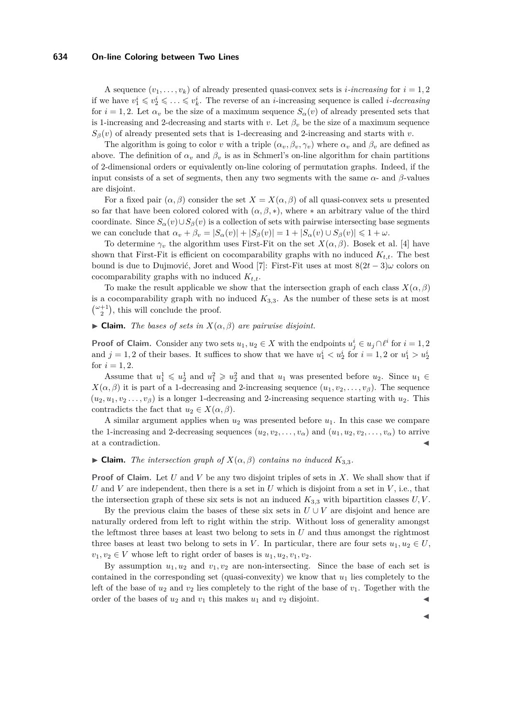#### **634 On-line Coloring between Two Lines**

A sequence  $(v_1, \ldots, v_k)$  of already presented quasi-convex sets is *i*-increasing for  $i = 1, 2$ if we have  $v_1^i \leq v_2^i \leq \ldots \leq v_k^i$ . The reverse of an *i*-increasing sequence is called *i-decreasing* for  $i = 1, 2$ . Let  $\alpha_v$  be the size of a maximum sequence  $S_\alpha(v)$  of already presented sets that is 1-increasing and 2-decreasing and starts with *v*. Let  $\beta_v$  be the size of a maximum sequence  $S_{\beta}(v)$  of already presented sets that is 1-decreasing and 2-increasing and starts with *v*.

The algorithm is going to color *v* with a triple  $(\alpha_v, \beta_v, \gamma_v)$  where  $\alpha_v$  and  $\beta_v$  are defined as above. The definition of  $\alpha_v$  and  $\beta_v$  is as in Schmerl's on-line algorithm for chain partitions of 2-dimensional orders or equivalently on-line coloring of permutation graphs. Indeed, if the input consists of a set of segments, then any two segments with the same  $\alpha$ - and  $\beta$ -values are disjoint.

For a fixed pair  $(\alpha, \beta)$  consider the set  $X = X(\alpha, \beta)$  of all quasi-convex sets *u* presented so far that have been colored colored with  $(\alpha, \beta, *)$ , where  $*$  an arbitrary value of the third coordinate. Since  $S_\alpha(v) \cup S_\beta(v)$  is a collection of sets with pairwise intersecting base segments we can conclude that  $\alpha_v + \beta_v = |S_\alpha(v)| + |S_\beta(v)| = 1 + |S_\alpha(v) \cup S_\beta(v)| \leq 1 + \omega$ .

To determine  $\gamma_v$  the algorithm uses First-Fit on the set  $X(\alpha, \beta)$ . Bosek et al. [\[4\]](#page-10-7) have shown that First-Fit is efficient on cocomparability graphs with no induced  $K_{t,t}$ . The best bound is due to Dujmović, Joret and Wood [\[7\]](#page-10-8): First-Fit uses at most  $8(2t-3)\omega$  colors on cocomparability graphs with no induced *Kt,t*.

To make the result applicable we show that the intersection graph of each class  $X(\alpha, \beta)$ is a cocomparability graph with no induced  $K_{3,3}$ . As the number of these sets is at most  $\binom{\omega+1}{2}$ , this will conclude the proof.

#### $\blacktriangleright$  **Claim.** *The bases of sets in*  $X(\alpha, \beta)$  *are pairwise disjoint.*

**Proof of Claim.** Consider any two sets  $u_1, u_2 \in X$  with the endpoints  $u_j^i \in u_j \cap \ell^i$  for  $i = 1, 2$ and  $j = 1, 2$  of their bases. It suffices to show that we have  $u_1^i < u_2^i$  for  $i = 1, 2$  or  $u_1^i > u_2^i$ for  $i = 1, 2$ .

Assume that  $u_1^1 \leq u_2^1$  and  $u_1^2 \geq u_2^2$  and that  $u_1$  was presented before  $u_2$ . Since  $u_1 \in$  $X(\alpha, \beta)$  it is part of a 1-decreasing and 2-increasing sequence  $(u_1, v_2, \dots, v_\beta)$ . The sequence  $(u_2, u_1, v_2, \ldots, v_\beta)$  is a longer 1-decreasing and 2-increasing sequence starting with  $u_2$ . This contradicts the fact that  $u_2 \in X(\alpha, \beta)$ .

A similar argument applies when *u*<sup>2</sup> was presented before *u*1. In this case we compare the 1-increasing and 2-decreasing sequences  $(u_2, v_2, \ldots, v_\alpha)$  and  $(u_1, u_2, v_2, \ldots, v_\alpha)$  to arrive at a contradiction.

#### $\blacktriangleright$  **Claim.** *The intersection graph of*  $X(\alpha, \beta)$  *contains no induced*  $K_{3,3}$ *.*

**Proof of Claim.** Let *U* and *V* be any two disjoint triples of sets in *X*. We shall show that if *U* and *V* are independent, then there is a set in *U* which is disjoint from a set in *V*, i.e., that the intersection graph of these six sets is not an induced  $K_{3,3}$  with bipartition classes  $U, V$ .

By the previous claim the bases of these six sets in  $U \cup V$  are disjoint and hence are naturally ordered from left to right within the strip. Without loss of generality amongst the leftmost three bases at least two belong to sets in *U* and thus amongst the rightmost three bases at least two belong to sets in *V*. In particular, there are four sets  $u_1, u_2 \in U$ ,  $v_1, v_2 \in V$  whose left to right order of bases is  $u_1, u_2, v_1, v_2$ .

By assumption  $u_1, u_2$  and  $v_1, v_2$  are non-intersecting. Since the base of each set is contained in the corresponding set (quasi-convexity) we know that  $u_1$  lies completely to the left of the base of  $u_2$  and  $v_2$  lies completely to the right of the base of  $v_1$ . Together with the order of the bases of  $u_2$  and  $v_1$  this makes  $u_1$  and  $v_2$  disjoint.

J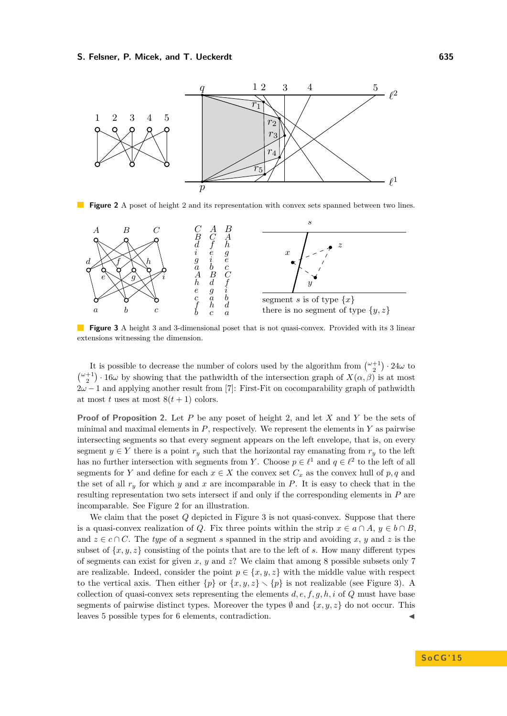<span id="page-5-0"></span>

Figure 2 A poset of height 2 and its representation with convex sets spanned between two lines.

<span id="page-5-1"></span>

**Figure 3** A height 3 and 3-dimensional poset that is not quasi-convex. Provided with its 3 linear extensions witnessing the dimension.

It is possible to decrease the number of colors used by the algorithm from  $\binom{\omega+1}{2} \cdot 24\omega$  to  $\binom{\omega+1}{2}$  · 16*ω* by showing that the pathwidth of the intersection graph of  $X(\alpha,\beta)$  is at most 2*ω* − 1 and applying another result from [\[7\]](#page-10-8): First-Fit on cocomparability graph of pathwidth at most *t* uses at most  $8(t + 1)$  colors.

**Proof of Proposition [2.](#page-2-1)** Let *P* be any poset of height 2, and let *X* and *Y* be the sets of minimal and maximal elements in *P*, respectively. We represent the elements in *Y* as pairwise intersecting segments so that every segment appears on the left envelope, that is, on every segment  $y \in Y$  there is a point  $r_y$  such that the horizontal ray emanating from  $r_y$  to the left has no further intersection with segments from *Y*. Choose  $p \in \ell^1$  and  $q \in \ell^2$  to the left of all segments for *Y* and define for each  $x \in X$  the convex set  $C_x$  as the convex hull of  $p, q$  and the set of all  $r_y$  for which  $y$  and  $x$  are incomparable in  $P$ . It is easy to check that in the resulting representation two sets intersect if and only if the corresponding elements in *P* are incomparable. See Figure [2](#page-5-0) for an illustration.

We claim that the poset *Q* depicted in Figure [3](#page-5-1) is not quasi-convex. Suppose that there is a quasi-convex realization of *Q*. Fix three points within the strip  $x \in a \cap A$ ,  $y \in b \cap B$ , and  $z \in c \cap C$ . The *type* of a segment *s* spanned in the strip and avoiding *x*, *y* and *z* is the subset of  $\{x, y, z\}$  consisting of the points that are to the left of *s*. How many different types of segments can exist for given *x*, *y* and *z*? We claim that among 8 possible subsets only 7 are realizable. Indeed, consider the point  $p \in \{x, y, z\}$  with the middle value with respect to the vertical axis. Then either  $\{p\}$  or  $\{x, y, z\} \setminus \{p\}$  is not realizable (see Figure [3\)](#page-5-1). A collection of quasi-convex sets representing the elements  $d, e, f, g, h, i$  of  $Q$  must have base segments of pairwise distinct types. Moreover the types  $\emptyset$  and  $\{x, y, z\}$  do not occur. This leaves 5 possible types for 6 elements, contradiction.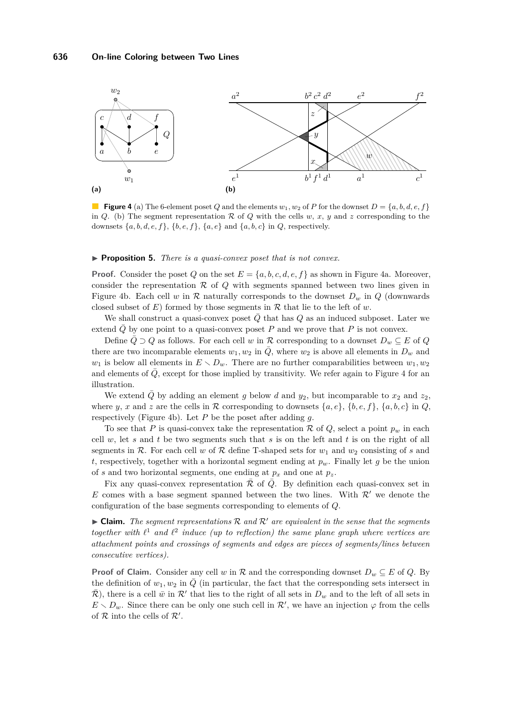<span id="page-6-2"></span><span id="page-6-0"></span>

<span id="page-6-1"></span>**Figure 4** [\(a\)](#page-6-0) The 6-element poset *Q* and the elements  $w_1, w_2$  of *P* for the downset  $D = \{a, b, d, e, f\}$ in *Q*. [\(b\)](#page-6-1) The segment representation  $R$  of *Q* with the cells *w*, *x*, *y* and *z* corresponding to the downsets {*a, b, d, e, f*}, {*b, e, f*}, {*a, e*} and {*a, b, c*} in *Q*, respectively.

#### ▶ **Proposition 5.** *There is a quasi-convex poset that is not convex.*

**Proof.** Consider the poset *Q* on the set  $E = \{a, b, c, d, e, f\}$  as shown in Figure [4a.](#page-6-0) Moreover, consider the representation  $R$  of  $Q$  with segments spanned between two lines given in Figure [4b.](#page-6-1) Each cell *w* in  $\mathcal R$  naturally corresponds to the downset  $D_w$  in  $Q$  (downwards closed subset of  $E$ ) formed by those segments in  $R$  that lie to the left of  $w$ .

We shall construct a quasi-convex poset  $\overline{Q}$  that has  $Q$  as an induced subposet. Later we extend  $\overline{Q}$  by one point to a quasi-convex poset *P* and we prove that *P* is not convex.

Define  $\bar{Q} \supset Q$  as follows. For each cell *w* in R corresponding to a downset  $D_w \subseteq E$  of  $Q$ there are two incomparable elements  $w_1, w_2$  in  $\overline{Q}$ , where  $w_2$  is above all elements in  $D_w$  and  $w_1$  is below all elements in  $E \setminus D_w$ . There are no further comparabilities between  $w_1, w_2$ and elements of  $\overline{Q}$ , except for those implied by transitivity. We refer again to Figure [4](#page-6-2) for an illustration.

We extend  $\overline{Q}$  by adding an element *g* below *d* and  $y_2$ , but incomparable to  $x_2$  and  $z_2$ , where *y*, *x* and *z* are the cells in R corresponding to downsets  $\{a, e\}$ ,  $\{b, e, f\}$ ,  $\{a, b, c\}$  in *Q*, respectively (Figure [4b\)](#page-6-1). Let *P* be the poset after adding *g*.

To see that *P* is quasi-convex take the representation  $\mathcal R$  of  $Q$ , select a point  $p_w$  in each cell *w*, let *s* and *t* be two segments such that *s* is on the left and *t* is on the right of all segments in  $\mathcal{R}$ . For each cell *w* of  $\mathcal{R}$  define T-shaped sets for  $w_1$  and  $w_2$  consisting of *s* and *t*, respectively, together with a horizontal segment ending at  $p_w$ . Finally let *g* be the union of *s* and two horizontal segments, one ending at  $p_x$  and one at  $p_z$ .

Fix any quasi-convex representation  $\overline{\mathcal{R}}$  of  $\overline{Q}$ . By definition each quasi-convex set in *E* comes with a base segment spanned between the two lines. With  $\mathcal{R}'$  we denote the configuration of the base segments corresponding to elements of *Q*.

 $\triangleright$  **Claim.** The segment representations  $\mathcal{R}$  and  $\mathcal{R}'$  are equivalent in the sense that the segments together with  $\ell^1$  and  $\ell^2$  induce (up to reflection) the same plane graph where vertices are *attachment points and crossings of segments and edges are pieces of segments/lines between consecutive vertices).*

**Proof of Claim.** Consider any cell *w* in R and the corresponding downset  $D_w \subseteq E$  of *Q*. By the definition of  $w_1, w_2$  in  $\overline{Q}$  (in particular, the fact that the corresponding sets intersect in  $\bar{\mathcal{R}}$ ), there is a cell  $\bar{w}$  in  $\mathcal{R}'$  that lies to the right of all sets in  $D_w$  and to the left of all sets in  $E \setminus D_w$ . Since there can be only one such cell in  $\mathcal{R}'$ , we have an injection  $\varphi$  from the cells of  $R$  into the cells of  $R'$ .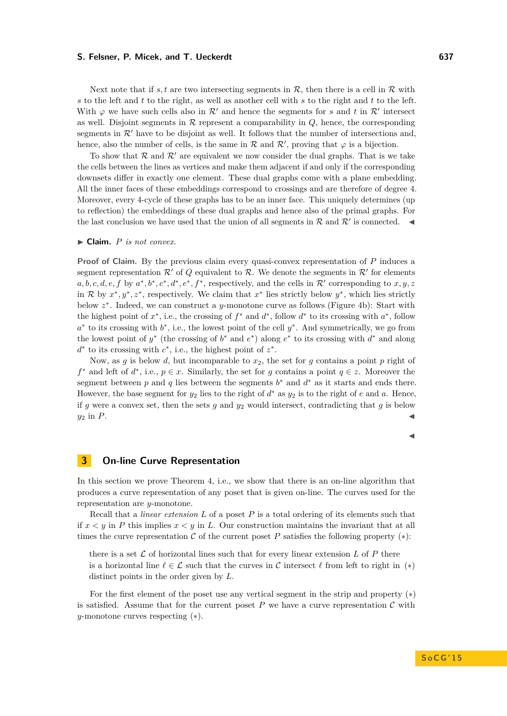Next note that if  $s, t$  are two intersecting segments in  $\mathcal{R}$ , then there is a cell in  $\mathcal{R}$  with *s* to the left and *t* to the right, as well as another cell with *s* to the right and *t* to the left. With  $\varphi$  we have such cells also in  $\mathcal{R}'$  and hence the segments for *s* and *t* in  $\mathcal{R}'$  intersect as well. Disjoint segments in  $R$  represent a comparability in  $Q$ , hence, the corresponding segments in  $\mathcal{R}'$  have to be disjoint as well. It follows that the number of intersections and, hence, also the number of cells, is the same in  $\mathcal R$  and  $\mathcal R'$ , proving that  $\varphi$  is a bijection.

To show that  $\mathcal{R}$  and  $\mathcal{R}'$  are equivalent we now consider the dual graphs. That is we take the cells between the lines as vertices and make them adjacent if and only if the corresponding downsets differ in exactly one element. These dual graphs come with a plane embedding. All the inner faces of these embeddings correspond to crossings and are therefore of degree 4. Moreover, every 4-cycle of these graphs has to be an inner face. This uniquely determines (up to reflection) the embeddings of these dual graphs and hence also of the primal graphs. For the last conclusion we have used that the union of all segments in  $\mathcal R$  and  $\mathcal R'$  is connected.

#### $\blacktriangleright$  **Claim.** *P is not convex.*

**Proof of Claim.** By the previous claim every quasi-convex representation of *P* induces a segment representation  $\mathcal{R}'$  of  $Q$  equivalent to  $\mathcal{R}$ . We denote the segments in  $\mathcal{R}'$  for elements  $a, b, c, d, e, f$  by  $a^*, b^*, c^*, d^*, e^*, f^*$ , respectively, and the cells in  $\mathcal{R}'$  corresponding to  $x, y, z$ in R by  $x^*, y^*, z^*$ , respectively. We claim that  $x^*$  lies strictly below  $y^*$ , which lies strictly below *z* ∗ . Indeed, we can construct a *y*-monotone curve as follows (Figure [4b\)](#page-6-1): Start with the highest point of  $x^*$ , i.e., the crossing of  $f^*$  and  $d^*$ , follow  $d^*$  to its crossing with  $a^*$ , follow *a*<sup>∗</sup> to its crossing with *b*<sup>∗</sup>, i.e., the lowest point of the cell *y*<sup>∗</sup>. And symmetrically, we go from the lowest point of  $y^*$  (the crossing of  $b^*$  and  $e^*$ ) along  $e^*$  to its crossing with  $d^*$  and along *d*<sup>∗</sup> to its crossing with *c*<sup>∗</sup>, i.e., the highest point of *z*<sup>∗</sup>.

Now, as  $g$  is below  $d$ , but incomparable to  $x_2$ , the set for  $g$  contains a point  $p$  right of *f*<sup>∗</sup> and left of *d*<sup>\*</sup>, i.e., *p* ∈ *x*. Similarly, the set for *g* contains a point *q* ∈ *z*. Moreover the segment between  $p$  and  $q$  lies between the segments  $b^*$  and  $d^*$  as it starts and ends there. However, the base segment for  $y_2$  lies to the right of  $d^*$  as  $y_2$  is to the right of  $e$  and  $a$ . Hence, if *g* were a convex set, then the sets *g* and  $y_2$  would intersect, contradicting that *g* is below  $y_2$  in *P*.

### <span id="page-7-1"></span> $\blacktriangleleft$

## <span id="page-7-0"></span>**3 On-line Curve Representation**

In this section we prove Theorem [4,](#page-3-1) i.e., we show that there is an on-line algorithm that produces a curve representation of any poset that is given on-line. The curves used for the representation are *y*-monotone.

Recall that a *linear extension L* of a poset *P* is a total ordering of its elements such that if *x < y* in *P* this implies *x < y* in *L*. Our construction maintains the invariant that at all times the curve representation  $\mathcal C$  of the current poset  $P$  satisfies the following property  $(*)$ :

there is a set  $\mathcal L$  of horizontal lines such that for every linear extension L of P there is a horizontal line  $\ell \in \mathcal{L}$  such that the curves in C intersect  $\ell$  from left to right in (\*) distinct points in the order given by *L*.

For the first element of the poset use any vertical segment in the strip and property ([∗](#page-7-1)) is satisfied. Assume that for the current poset  $P$  we have a curve representation  $C$  with *y*-monotone curves respecting ([∗](#page-7-1)).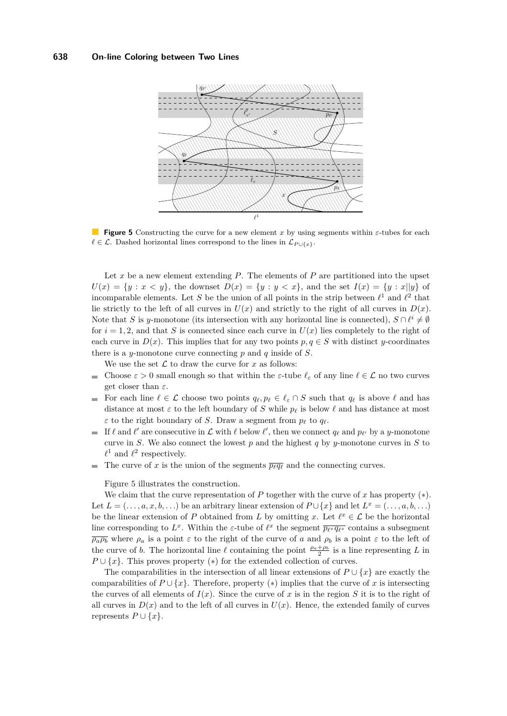<span id="page-8-0"></span>

**Figure 5** Constructing the curve for a new element *x* by using segments within *ε*-tubes for each  $\ell \in \mathcal{L}$ . Dashed horizontal lines correspond to the lines in  $\mathcal{L}_{P \cup \{x\}}$ .

Let  $x$  be a new element extending  $P$ . The elements of  $P$  are partitioned into the upset  $U(x) = \{y : x < y\}$ , the downset  $D(x) = \{y : y < x\}$ , and the set  $I(x) = \{y : x||y\}$  of incomparable elements. Let S be the union of all points in the strip between  $\ell^1$  and  $\ell^2$  that lie strictly to the left of all curves in  $U(x)$  and strictly to the right of all curves in  $D(x)$ . Note that *S* is *y*-monotone (its intersection with any horizontal line is connected),  $S \cap \ell^i \neq \emptyset$ for  $i = 1, 2$ , and that *S* is connected since each curve in  $U(x)$  lies completely to the right of each curve in  $D(x)$ . This implies that for any two points  $p, q \in S$  with distinct *y*-coordinates there is a *y*-monotone curve connecting *p* and *q* inside of *S*.

We use the set  $\mathcal L$  to draw the curve for  $x$  as follows:

- Choose  $\varepsilon > 0$  small enough so that within the  $\varepsilon$ -tube  $\ell_{\varepsilon}$  of any line  $\ell \in \mathcal{L}$  no two curves m. get closer than *ε*.
- For each line  $\ell \in \mathcal{L}$  choose two points  $q_{\ell}, p_{\ell} \in \ell_{\varepsilon} \cap S$  such that  $q_{\ell}$  is above  $\ell$  and has  $\blacksquare$ distance at most  $\varepsilon$  to the left boundary of *S* while  $p_\ell$  is below  $\ell$  and has distance at most *ε* to the right boundary of *S*. Draw a segment from  $p_\ell$  to  $q_\ell$ .
- If  $\ell$  and  $\ell'$  are consecutive in  $\mathcal L$  with  $\ell$  below  $\ell'$ , then we connect  $q_\ell$  and  $p_{\ell'}$  by a *y*-monotone m. curve in *S*. We also connect the lowest *p* and the highest *q* by *y*-monotone curves in *S* to  $\ell^1$  and  $\ell^2$  respectively.
- The curve of *x* is the union of the segments  $\overline{p_{\ell}q_{\ell}}$  and the connecting curves.

Figure [5](#page-8-0) illustrates the construction.

We claim that the curve representation of  $P$  together with the curve of  $x$  has property  $(*)$ . Let  $L = (\ldots, a, x, b, \ldots)$  be an arbitrary linear extension of  $P \cup \{x\}$  and let  $L^x = (\ldots, a, b, \ldots)$ be the linear extension of *P* obtained from *L* by omitting *x*. Let  $\ell^x \in \mathcal{L}$  be the horizontal line corresponding to  $L^x$ . Within the *ε*-tube of  $\ell^x$  the segment  $\overline{p_{\ell^x}q_{\ell^x}}$  contains a subsegment  $\overline{\rho_a \rho_b}$  where  $\rho_a$  is a point  $\varepsilon$  to the right of the curve of *a* and  $\rho_b$  is a point  $\varepsilon$  to the left of the curve of *b*. The horizontal line  $\ell$  containing the point  $\frac{\rho_a + \rho_b}{2}$  is a line representing *L* in  $P \cup \{x\}$ . This proves property (\*) for the extended collection of curves.

The comparabilities in the intersection of all linear extensions of  $P \cup \{x\}$  are exactly the comparabilities of  $P \cup \{x\}$ . Therefore, property (\*) implies that the curve of *x* is intersecting the curves of all elements of  $I(x)$ . Since the curve of x is in the region S it is to the right of all curves in  $D(x)$  and to the left of all curves in  $U(x)$ . Hence, the extended family of curves represents  $P \cup \{x\}.$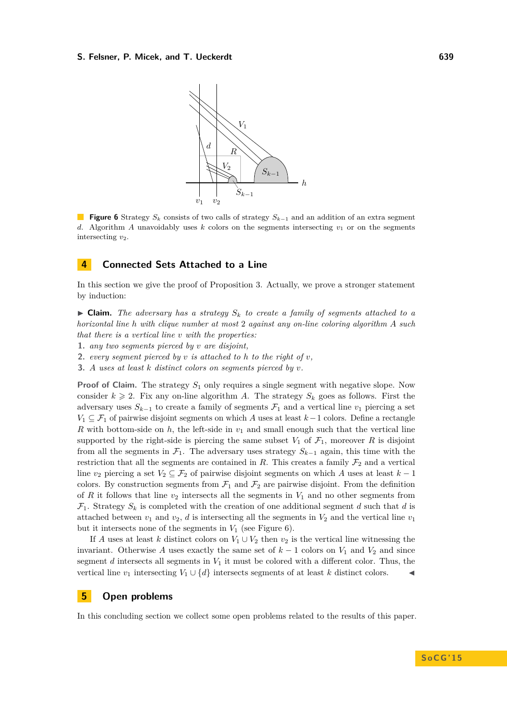<span id="page-9-0"></span>

**Figure 6** Strategy *S<sup>k</sup>* consists of two calls of strategy *Sk*−<sup>1</sup> and an addition of an extra segment *d*. Algorithm *A* unavoidably uses *k* colors on the segments intersecting  $v_1$  or on the segments intersecting *v*2.

## **4 Connected Sets Attached to a Line**

In this section we give the proof of Proposition [3.](#page-3-2) Actually, we prove a stronger statement by induction:

 $\triangleright$  **Claim.** *The adversary has a strategy*  $S_k$  *to create a family of segments attached to a horizontal line h with clique number at most* 2 *against any on-line coloring algorithm A such that there is a vertical line v with the properties:*

- **1.** *any two segments pierced by v are disjoint,*
- **2.** *every segment pierced by v is attached to h to the right of v,*
- **3.** *A uses at least k distinct colors on segments pierced by v.*

**Proof of Claim.** The strategy  $S_1$  only requires a single segment with negative slope. Now consider  $k \geq 2$ . Fix any on-line algorithm *A*. The strategy  $S_k$  goes as follows. First the adversary uses  $S_{k-1}$  to create a family of segments  $\mathcal{F}_1$  and a vertical line  $v_1$  piercing a set *V*<sub>1</sub> ⊆  $\mathcal{F}_1$  of pairwise disjoint segments on which *A* uses at least *k* − 1 colors. Define a rectangle *R* with bottom-side on  $h$ , the left-side in  $v_1$  and small enough such that the vertical line supported by the right-side is piercing the same subset  $V_1$  of  $\mathcal{F}_1$ , moreover R is disjoint from all the segments in  $\mathcal{F}_1$ . The adversary uses strategy  $S_{k-1}$  again, this time with the restriction that all the segments are contained in *R*. This creates a family  $\mathcal{F}_2$  and a vertical line  $v_2$  piercing a set  $V_2 \subseteq \mathcal{F}_2$  of pairwise disjoint segments on which *A* uses at least  $k-1$ colors. By construction segments from  $\mathcal{F}_1$  and  $\mathcal{F}_2$  are pairwise disjoint. From the definition of *R* it follows that line  $v_2$  intersects all the segments in  $V_1$  and no other segments from  $\mathcal{F}_1$ . Strategy  $S_k$  is completed with the creation of one additional segment *d* such that *d* is attached between  $v_1$  and  $v_2$ , *d* is intersecting all the segments in  $V_2$  and the vertical line  $v_1$ but it intersects none of the segments in  $V_1$  (see Figure [6\)](#page-9-0).

If *A* uses at least *k* distinct colors on  $V_1 \cup V_2$  then  $v_2$  is the vertical line witnessing the invariant. Otherwise A uses exactly the same set of  $k-1$  colors on  $V_1$  and  $V_2$  and since segment  $d$  intersects all segments in  $V_1$  it must be colored with a different color. Thus, the vertical line  $v_1$  intersecting  $V_1 \cup \{d\}$  intersects segments of at least *k* distinct colors.

## **5 Open problems**

In this concluding section we collect some open problems related to the results of this paper.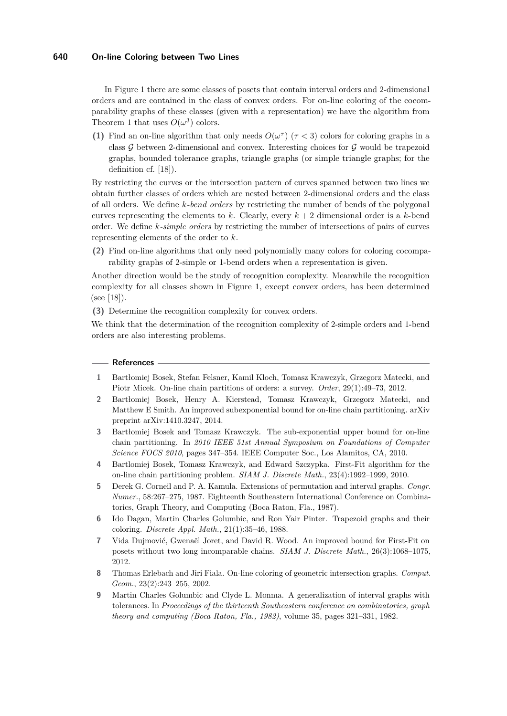## **640 On-line Coloring between Two Lines**

In Figure [1](#page-2-2) there are some classes of posets that contain interval orders and 2-dimensional orders and are contained in the class of convex orders. For on-line coloring of the cocomparability graphs of these classes (given with a representation) we have the algorithm from Theorem [1](#page-2-0) that uses  $O(\omega^3)$  colors.

**(1)** Find an on-line algorithm that only needs  $O(\omega^{\tau})$  ( $\tau < 3$ ) colors for coloring graphs in a class  $\mathcal G$  between 2-dimensional and convex. Interesting choices for  $\mathcal G$  would be trapezoid graphs, bounded tolerance graphs, triangle graphs (or simple triangle graphs; for the definition cf. [\[18\]](#page-11-11)).

By restricting the curves or the intersection pattern of curves spanned between two lines we obtain further classes of orders which are nested between 2-dimensional orders and the class of all orders. We define *k-bend orders* by restricting the number of bends of the polygonal curves representing the elements to  $k$ . Clearly, every  $k+2$  dimensional order is a  $k$ -bend order. We define *k-simple orders* by restricting the number of intersections of pairs of curves representing elements of the order to *k*.

**(2)** Find on-line algorithms that only need polynomially many colors for coloring cocomparability graphs of 2-simple or 1-bend orders when a representation is given.

Another direction would be the study of recognition complexity. Meanwhile the recognition complexity for all classes shown in Figure [1,](#page-2-2) except convex orders, has been determined (see [\[18\]](#page-11-11)).

**(3)** Determine the recognition complexity for convex orders.

We think that the determination of the recognition complexity of 2-simple orders and 1-bend orders are also interesting problems.

#### **References**

- <span id="page-10-3"></span>**1** Bartłomiej Bosek, Stefan Felsner, Kamil Kloch, Tomasz Krawczyk, Grzegorz Matecki, and Piotr Micek. On-line chain partitions of orders: a survey. *Order*, 29(1):49–73, 2012.
- <span id="page-10-2"></span>**2** Bartłomiej Bosek, Henry A. Kierstead, Tomasz Krawczyk, Grzegorz Matecki, and Matthew E Smith. An improved subexponential bound for on-line chain partitioning. arXiv preprint arXiv:1410.3247, 2014.
- <span id="page-10-1"></span>**3** Bartłomiej Bosek and Tomasz Krawczyk. The sub-exponential upper bound for on-line chain partitioning. In *2010 IEEE 51st Annual Symposium on Foundations of Computer Science FOCS 2010*, pages 347–354. IEEE Computer Soc., Los Alamitos, CA, 2010.
- <span id="page-10-7"></span>**4** Bartlomiej Bosek, Tomasz Krawczyk, and Edward Szczypka. First-Fit algorithm for the on-line chain partitioning problem. *SIAM J. Discrete Math.*, 23(4):1992–1999, 2010.
- <span id="page-10-5"></span>**5** Derek G. Corneil and P. A. Kamula. Extensions of permutation and interval graphs. *Congr. Numer.*, 58:267–275, 1987. Eighteenth Southeastern International Conference on Combinatorics, Graph Theory, and Computing (Boca Raton, Fla., 1987).
- <span id="page-10-6"></span>**6** Ido Dagan, Martin Charles Golumbic, and Ron Yair Pinter. Trapezoid graphs and their coloring. *Discrete Appl. Math.*, 21(1):35–46, 1988.
- <span id="page-10-8"></span>**7** Vida Dujmović, Gwenaël Joret, and David R. Wood. An improved bound for First-Fit on posets without two long incomparable chains. *SIAM J. Discrete Math.*, 26(3):1068–1075, 2012.
- <span id="page-10-0"></span>**8** Thomas Erlebach and Jiri Fiala. On-line coloring of geometric intersection graphs. *Comput. Geom.*, 23(2):243–255, 2002.
- <span id="page-10-4"></span>**9** Martin Charles Golumbic and Clyde L. Monma. A generalization of interval graphs with tolerances. In *Proceedings of the thirteenth Southeastern conference on combinatorics, graph theory and computing (Boca Raton, Fla., 1982)*, volume 35, pages 321–331, 1982.